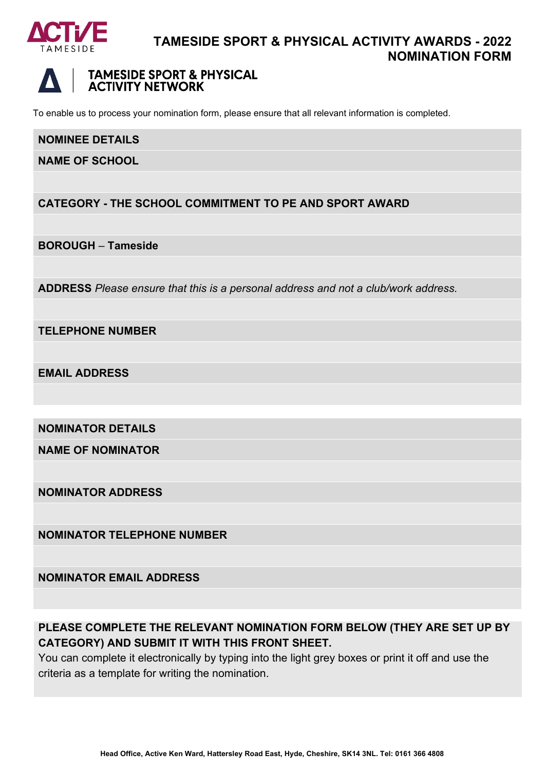

### **TAMESIDE SPORT & PHYSICAL ACTIVITY AWARDS - 2022 NOMINATION FORM**



### **TAMESIDE SPORT & PHYSICAL ACTIVITY NETWORK**

To enable us to process your nomination form, please ensure that all relevant information is completed.

#### **NOMINEE DETAILS**

**NAME OF SCHOOL**

### **CATEGORY - THE SCHOOL COMMITMENT TO PE AND SPORT AWARD**

**BOROUGH** *–* **Tameside**

**ADDRESS** *Please ensure that this is a personal address and not a club/work address.*

**TELEPHONE NUMBER**

**EMAIL ADDRESS**

**NOMINATOR DETAILS**

**NAME OF NOMINATOR**

**NOMINATOR ADDRESS**

**NOMINATOR TELEPHONE NUMBER**

### **NOMINATOR EMAIL ADDRESS**

### **PLEASE COMPLETE THE RELEVANT NOMINATION FORM BELOW (THEY ARE SET UP BY CATEGORY) AND SUBMIT IT WITH THIS FRONT SHEET.**

You can complete it electronically by typing into the light grey boxes or print it off and use the criteria as a template for writing the nomination.